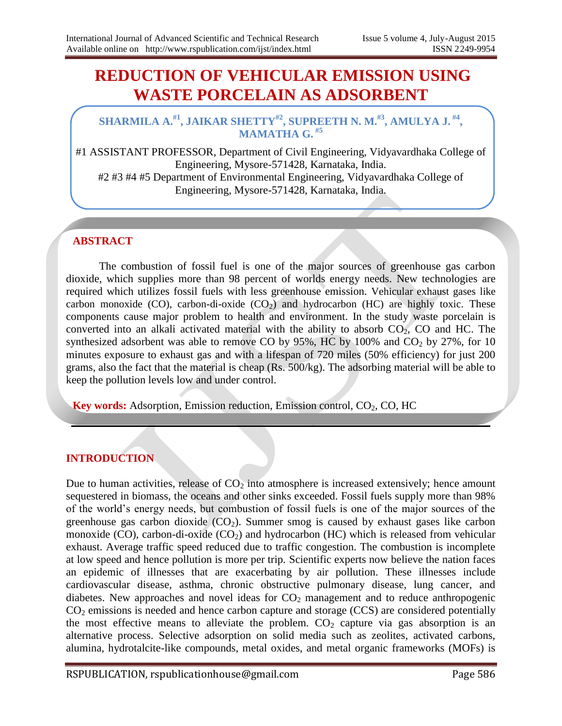# **REDUCTION OF VEHICULAR EMISSION USING WASTE PORCELAIN AS ADSORBENT**

#### **SHARMILA A. #1 , JAIKAR SHETTY#2 , SUPREETH N. M.#3, AMULYA J. #4 , MAMATHA G. #5**

#1 ASSISTANT PROFESSOR, Department of Civil Engineering, Vidyavardhaka College of Engineering, Mysore-571428, Karnataka, India. #2 #3 #4 #5 Department of Environmental Engineering, Vidyavardhaka College of Engineering, Mysore-571428, Karnataka, India.

## **ABSTRACT**

The combustion of fossil fuel is one of the major sources of greenhouse gas carbon dioxide, which supplies more than 98 percent of worlds energy needs. New technologies are required which utilizes fossil fuels with less greenhouse emission. Vehicular exhaust gases like carbon monoxide (CO), carbon-di-oxide  $(CO_2)$  and hydrocarbon (HC) are highly toxic. These components cause major problem to health and environment. In the study waste porcelain is converted into an alkali activated material with the ability to absorb  $CO<sub>2</sub>$ , CO and HC. The synthesized adsorbent was able to remove CO by  $95\%$ , HC by  $100\%$  and CO<sub>2</sub> by 27%, for 10 minutes exposure to exhaust gas and with a lifespan of 720 miles (50% efficiency) for just 200 grams, also the fact that the material is cheap (Rs. 500/kg). The adsorbing material will be able to keep the pollution levels low and under control.

**Key words:** Adsorption, Emission reduction, Emission control, CO<sub>2</sub>, CO, HC

## **INTRODUCTION**

Due to human activities, release of  $CO<sub>2</sub>$  into atmosphere is increased extensively; hence amount sequestered in biomass, the oceans and other sinks exceeded. Fossil fuels supply more than 98% of the world's energy needs, but combustion of fossil fuels is one of the major sources of the greenhouse gas carbon dioxide  $(CO<sub>2</sub>)$ . Summer smog is caused by exhaust gases like carbon monoxide (CO), carbon-di-oxide (CO<sub>2</sub>) and hydrocarbon (HC) which is released from vehicular exhaust. Average traffic speed reduced due to traffic congestion. The combustion is incomplete at low speed and hence pollution is more per trip. Scientific experts now believe the nation faces an epidemic of illnesses that are exacerbating by air pollution. These illnesses include cardiovascular disease, asthma, chronic obstructive pulmonary disease, lung cancer, and diabetes. New approaches and novel ideas for  $CO<sub>2</sub>$  management and to reduce anthropogenic  $CO<sub>2</sub>$  emissions is needed and hence carbon capture and storage (CCS) are considered potentially the most effective means to alleviate the problem.  $CO<sub>2</sub>$  capture via gas absorption is an alternative process. Selective adsorption on solid media such as zeolites, activated carbons, alumina, hydrotalcite-like compounds, metal oxides, and metal organic frameworks (MOFs) is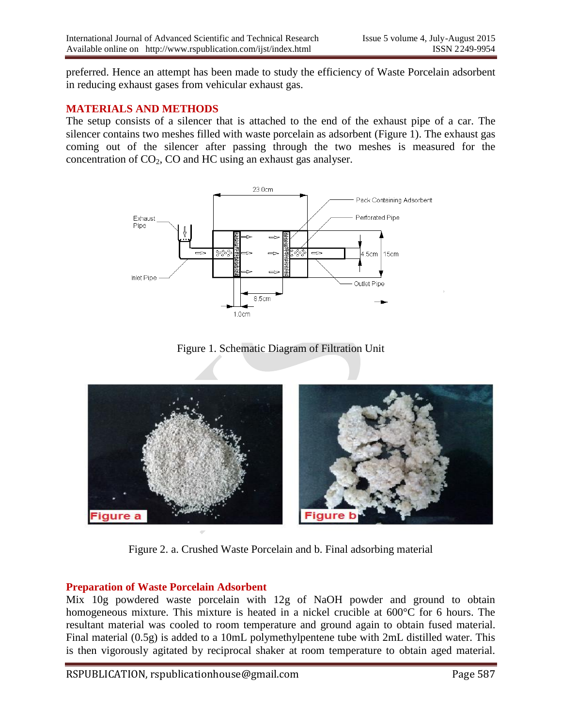preferred. Hence an attempt has been made to study the efficiency of Waste Porcelain adsorbent in reducing exhaust gases from vehicular exhaust gas.

#### **MATERIALS AND METHODS**

The setup consists of a silencer that is attached to the end of the exhaust pipe of a car. The silencer contains two meshes filled with waste porcelain as adsorbent (Figure 1). The exhaust gas coming out of the silencer after passing through the two meshes is measured for the concentration of  $CO<sub>2</sub>$ , CO and HC using an exhaust gas analyser.



Figure 1. Schematic Diagram of Filtration Unit



Figure 2. a. Crushed Waste Porcelain and b. Final adsorbing material

#### **Preparation of Waste Porcelain Adsorbent**

Mix 10g powdered waste porcelain with 12g of NaOH powder and ground to obtain homogeneous mixture. This mixture is heated in a nickel crucible at  $600^{\circ}$ C for 6 hours. The resultant material was cooled to room temperature and ground again to obtain fused material. Final material (0.5g) is added to a 10mL polymethylpentene tube with 2mL distilled water. This is then vigorously agitated by reciprocal shaker at room temperature to obtain aged material.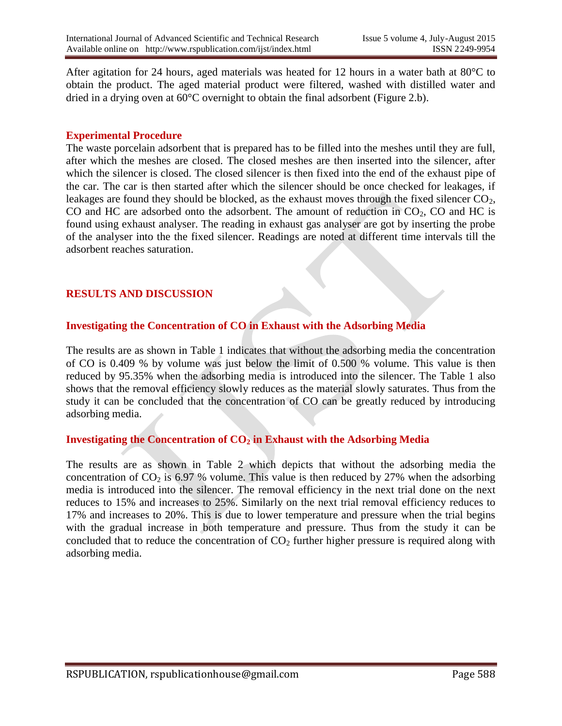After agitation for 24 hours, aged materials was heated for 12 hours in a water bath at 80°C to obtain the product. The aged material product were filtered, washed with distilled water and dried in a drying oven at 60°C overnight to obtain the final adsorbent (Figure 2.b).

#### **Experimental Procedure**

The waste porcelain adsorbent that is prepared has to be filled into the meshes until they are full, after which the meshes are closed. The closed meshes are then inserted into the silencer, after which the silencer is closed. The closed silencer is then fixed into the end of the exhaust pipe of the car. The car is then started after which the silencer should be once checked for leakages, if leakages are found they should be blocked, as the exhaust moves through the fixed silencer  $CO<sub>2</sub>$ , CO and HC are adsorbed onto the adsorbent. The amount of reduction in  $CO<sub>2</sub>$ , CO and HC is found using exhaust analyser. The reading in exhaust gas analyser are got by inserting the probe of the analyser into the the fixed silencer. Readings are noted at different time intervals till the adsorbent reaches saturation.

#### **RESULTS AND DISCUSSION**

## **Investigating the Concentration of CO in Exhaust with the Adsorbing Media**

The results are as shown in Table 1 indicates that without the adsorbing media the concentration of CO is 0.409 % by volume was just below the limit of 0.500 % volume. This value is then reduced by 95.35% when the adsorbing media is introduced into the silencer. The Table 1 also shows that the removal efficiency slowly reduces as the material slowly saturates. Thus from the study it can be concluded that the concentration of CO can be greatly reduced by introducing adsorbing media.

#### **Investigating the Concentration of CO<sup>2</sup> in Exhaust with the Adsorbing Media**

The results are as shown in Table 2 which depicts that without the adsorbing media the concentration of  $CO_2$  is 6.97 % volume. This value is then reduced by 27% when the adsorbing media is introduced into the silencer. The removal efficiency in the next trial done on the next reduces to 15% and increases to 25%. Similarly on the next trial removal efficiency reduces to 17% and increases to 20%. This is due to lower temperature and pressure when the trial begins with the gradual increase in both temperature and pressure. Thus from the study it can be concluded that to reduce the concentration of  $CO<sub>2</sub>$  further higher pressure is required along with adsorbing media.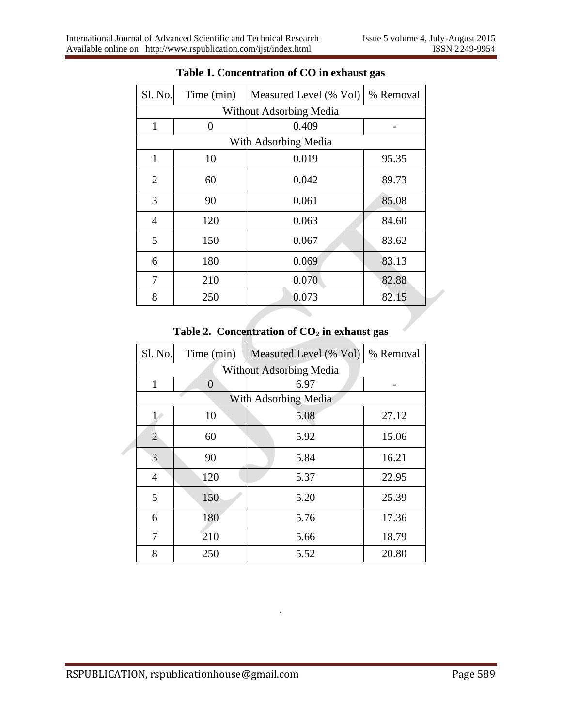| Sl. No.                        | Time (min) | Measured Level (% Vol)<br>% Removal |       |  |
|--------------------------------|------------|-------------------------------------|-------|--|
| <b>Without Adsorbing Media</b> |            |                                     |       |  |
| $\mathbf{1}$                   | 0.409<br>0 |                                     |       |  |
| With Adsorbing Media           |            |                                     |       |  |
| 1                              | 10         | 0.019                               | 95.35 |  |
| $\overline{2}$                 | 60         | 0.042<br>89.73                      |       |  |
| 3                              | 90         | 0.061                               | 85.08 |  |
| $\overline{4}$                 | 120        | 0.063                               | 84.60 |  |
| 5                              | 150        | 0.067                               | 83.62 |  |
| 6                              | 180        | 0.069                               | 83.13 |  |
| 7                              | 210        | 0.070                               | 82.88 |  |
| 8                              | 250        | 0.073                               | 82.15 |  |

## **Table 1. Concentration of CO in exhaust gas**

# **Table 2. Concentration of CO<sup>2</sup> in exhaust gas**

|                      | Sl. No.                        | Time (min) | Measured Level (% Vol) | % Removal |  |  |
|----------------------|--------------------------------|------------|------------------------|-----------|--|--|
|                      | <b>Without Adsorbing Media</b> |            |                        |           |  |  |
|                      | 1                              | $\theta$   | 6.97                   |           |  |  |
| With Adsorbing Media |                                |            |                        |           |  |  |
|                      | 1/                             | 10         | 5.08                   | 27.12     |  |  |
|                      | 2                              | 60         | 5.92                   | 15.06     |  |  |
|                      | 3                              | 90         | 5.84                   | 16.21     |  |  |
|                      | $\overline{4}$                 | 120        | 5.37                   | 22.95     |  |  |
|                      | 5                              | 150        | 5.20                   | 25.39     |  |  |
|                      | 6                              | 180        | 5.76                   | 17.36     |  |  |
|                      | 7                              | 210        | 5.66                   | 18.79     |  |  |
|                      | 8                              | 250        | 5.52                   | 20.80     |  |  |

.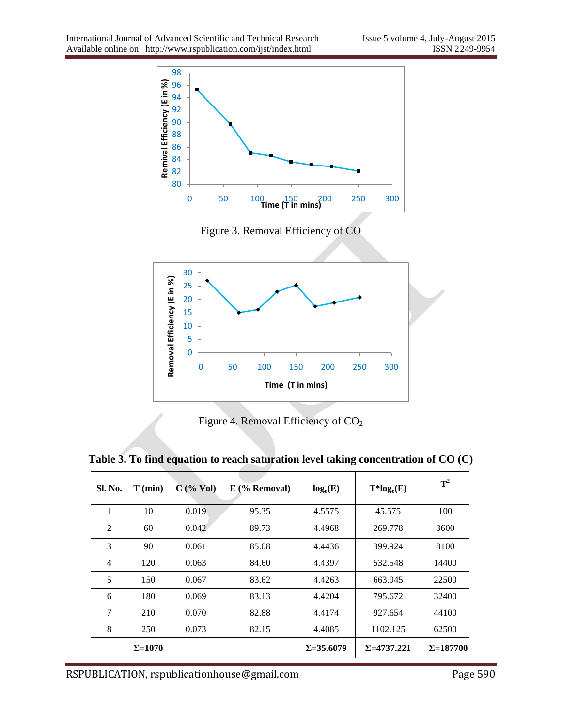

Figure 3. Removal Efficiency of CO



Figure 4. Removal Efficiency of CO<sub>2</sub>

| Sl. No.        | $T$ (min)       | $C$ (% Vol) | $E$ (% Removal) | $log_e(E)$         | $T^*log_e(E)$       | $T^2$             |
|----------------|-----------------|-------------|-----------------|--------------------|---------------------|-------------------|
| 1              | 10              | 0.019       | 95.35           | 4.5575             | 45.575              | 100               |
| 2              | 60              | 0.042       | 89.73           | 4.4968             | 269.778             | 3600              |
| 3              | 90              | 0.061       | 85.08           | 4.4436             | 399.924             | 8100              |
| $\overline{4}$ | 120             | 0.063       | 84.60           | 4.4397             | 532.548             | 14400             |
| 5              | 150             | 0.067       | 83.62           | 4.4263             | 663.945             | 22500             |
| 6              | 180             | 0.069       | 83.13           | 4.4204             | 795.672             | 32400             |
| 7              | 210             | 0.070       | 82.88           | 4.4174             | 927.654             | 44100             |
| 8              | 250             | 0.073       | 82.15           | 4.4085             | 1102.125            | 62500             |
|                | $\Sigma = 1070$ |             |                 | $\Sigma = 35.6079$ | $\Sigma = 4737.221$ | $\Sigma = 187700$ |

**Table 3. To find equation to reach saturation level taking concentration of CO (C)**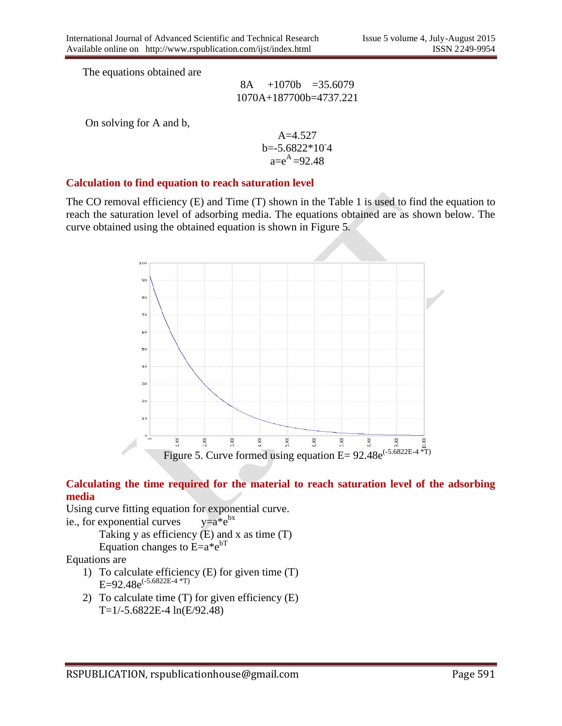The equations obtained are

8A +1070b =35.6079 1070A+187700b=4737.221

On solving for A and b,

A=4.527 b=-5.6822\*10- 4 a=e <sup>A</sup>=92.48

#### **Calculation to find equation to reach saturation level**

The CO removal efficiency (E) and Time (T) shown in the Table 1 is used to find the equation to reach the saturation level of adsorbing media. The equations obtained are as shown below. The curve obtained using the obtained equation is shown in Figure 5.



#### **Calculating the time required for the material to reach saturation level of the adsorbing media**

Using curve fitting equation for exponential curve.

ie., for exponential curves  $y=a*e^{bx}$ 

Taking y as efficiency  $(E)$  and x as time  $(T)$ Equation changes to  $E=a^*e^{bT}$ 

Equations are

- 1) To calculate efficiency (E) for given time (T) E=92.48e<sup> $(-5.6822E-4*T)$ </sup>
- 2) To calculate time  $(T)$  for given efficiency  $(E)$ T=1/-5.6822E-4 ln(E/92.48)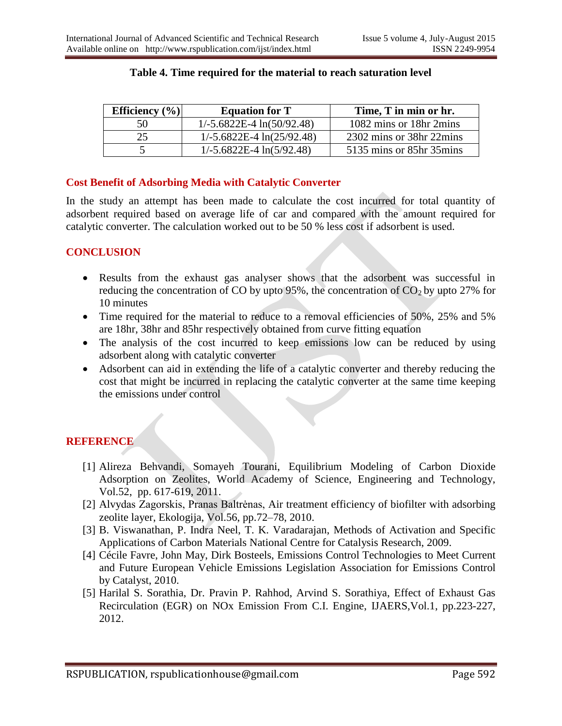| Efficiency $(\% )$ | <b>Equation for T</b>        | Time, T in min or hr.    |
|--------------------|------------------------------|--------------------------|
| 50                 | $1/-5.6822E-4 \ln(50/92.48)$ | 1082 mins or 18hr 2mins  |
| 25.                | $1/-5.6822E-4 \ln(25/92.48)$ | 2302 mins or 38hr 22mins |
|                    | $1/-5.6822E-4 \ln(5/92.48)$  | 5135 mins or 85hr 35mins |

#### **Table 4. Time required for the material to reach saturation level**

## **Cost Benefit of Adsorbing Media with Catalytic Converter**

In the study an attempt has been made to calculate the cost incurred for total quantity of adsorbent required based on average life of car and compared with the amount required for catalytic converter. The calculation worked out to be 50 % less cost if adsorbent is used.

## **CONCLUSION**

- Results from the exhaust gas analyser shows that the adsorbent was successful in reducing the concentration of CO by upto 95%, the concentration of  $CO<sub>2</sub>$  by upto 27% for 10 minutes
- Time required for the material to reduce to a removal efficiencies of 50%, 25% and 5% are 18hr, 38hr and 85hr respectively obtained from curve fitting equation
- The analysis of the cost incurred to keep emissions low can be reduced by using adsorbent along with catalytic converter
- Adsorbent can aid in extending the life of a catalytic converter and thereby reducing the cost that might be incurred in replacing the catalytic converter at the same time keeping the emissions under control

# **REFERENCE**

- [1] Alireza Behvandi, Somayeh Tourani, Equilibrium Modeling of Carbon Dioxide Adsorption on Zeolites, World Academy of Science, Engineering and Technology, Vol.52, pp. 617-619, 2011.
- [2] Alvydas Zagorskis, Pranas Baltrėnas, Air treatment efficiency of biofilter with adsorbing zeolite layer, Ekologija, Vol.56, pp.72–78, 2010.
- [3] B. Viswanathan, P. Indra Neel, T. K. Varadarajan, Methods of Activation and Specific Applications of Carbon Materials National Centre for Catalysis Research, 2009.
- [4] Cécile Favre, John May, Dirk Bosteels, Emissions Control Technologies to Meet Current and Future European Vehicle Emissions Legislation Association for Emissions Control by Catalyst, 2010.
- [5] Harilal S. Sorathia, Dr. Pravin P. Rahhod, Arvind S. Sorathiya, Effect of Exhaust Gas Recirculation (EGR) on NOx Emission From C.I. Engine, IJAERS,Vol.1, pp.223-227, 2012.